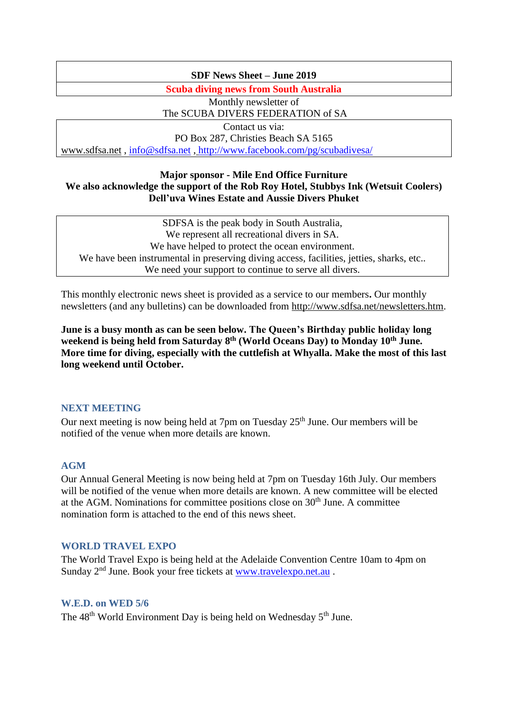### **SDF News Sheet – June 2019**

**Scuba diving news from South Australia**

Monthly newsletter of The SCUBA DIVERS FEDERATION of SA

Contact us via: PO Box 287, Christies Beach SA 5165 [www.sdfsa.net](http://www.sdfsa.net/) , [info@sdfsa.net](mailto:info@sdfsa.net) , <http://www.facebook.com/pg/scubadivesa/>

### **Major sponsor - Mile End Office Furniture We also acknowledge the support of the Rob Roy Hotel, Stubbys Ink (Wetsuit Coolers) Dell'uva Wines Estate and Aussie Divers Phuket**

SDFSA is the peak body in South Australia, We represent all recreational divers in SA. We have helped to protect the ocean environment. We have been instrumental in preserving diving access, facilities, jetties, sharks, etc.. We need your support to continue to serve all divers.

This monthly electronic news sheet is provided as a service to our members**.** Our monthly newsletters (and any bulletins) can be downloaded from [http://www.sdfsa.net/newsletters.htm.](http://www.sdfsa.net/newsletters.htm)

**June is a busy month as can be seen below. The Queen's Birthday public holiday long weekend is being held from Saturday 8th (World Oceans Day) to Monday 10th June. More time for diving, especially with the cuttlefish at Whyalla. Make the most of this last long weekend until October.**

## **NEXT MEETING**

Our next meeting is now being held at 7pm on Tuesday 25<sup>th</sup> June. Our members will be notified of the venue when more details are known.

### **AGM**

Our Annual General Meeting is now being held at 7pm on Tuesday 16th July. Our members will be notified of the venue when more details are known. A new committee will be elected at the AGM. Nominations for committee positions close on  $30<sup>th</sup>$  June. A committee nomination form is attached to the end of this news sheet.

### **WORLD TRAVEL EXPO**

The World Travel Expo is being held at the Adelaide Convention Centre 10am to 4pm on Sunday 2<sup>nd</sup> June. Book your free tickets at [www.travelexpo.net.au](http://www.travelexpo.net.au/) .

### **W.E.D. on WED 5/6**

The 48<sup>th</sup> World Environment Day is being held on Wednesday 5<sup>th</sup> June.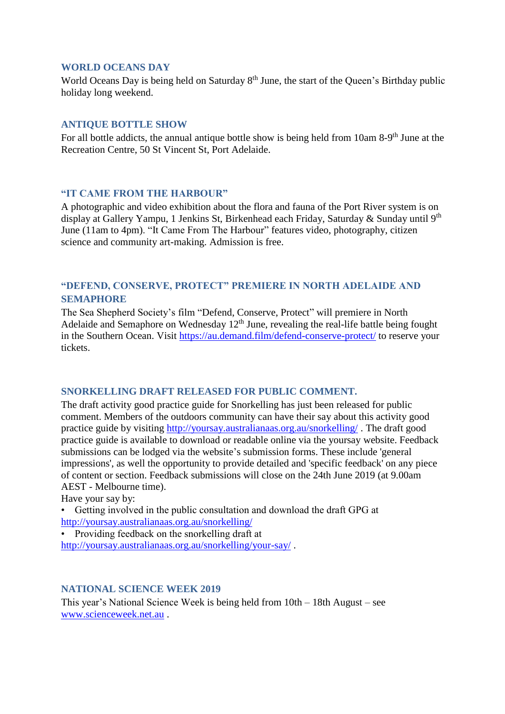#### **WORLD OCEANS DAY**

World Oceans Day is being held on Saturday 8<sup>th</sup> June, the start of the Queen's Birthday public holiday long weekend.

#### **ANTIQUE BOTTLE SHOW**

For all bottle addicts, the annual antique bottle show is being held from 10am 8-9<sup>th</sup> June at the Recreation Centre, 50 St Vincent St, Port Adelaide.

#### **"IT CAME FROM THE HARBOUR"**

A photographic and video exhibition about the flora and fauna of the Port River system is on display at Gallery Yampu, 1 Jenkins St, Birkenhead each Friday, Saturday & Sunday until 9<sup>th</sup> June (11am to 4pm). "It Came From The Harbour" features video, photography, citizen science and community art-making. Admission is free.

## **"DEFEND, CONSERVE, PROTECT" PREMIERE IN NORTH ADELAIDE AND SEMAPHORE**

The Sea Shepherd Society's film "Defend, Conserve, Protect" will premiere in North Adelaide and Semaphore on Wednesday  $12<sup>th</sup>$  June, revealing the real-life battle being fought in the Southern Ocean. Visit<https://au.demand.film/defend-conserve-protect/> to reserve your tickets.

### **SNORKELLING DRAFT RELEASED FOR PUBLIC COMMENT.**

The draft activity good practice guide for Snorkelling has just been released for public comment. Members of the outdoors community can have their say about this activity good practice guide by visiting<http://yoursay.australianaas.org.au/snorkelling/> . The draft good practice guide is available to download or readable online via the yoursay website. Feedback submissions can be lodged via the website's submission forms. These include 'general impressions', as well the opportunity to provide detailed and 'specific feedback' on any piece of content or section. Feedback submissions will close on the 24th June 2019 (at 9.00am AEST - Melbourne time).

Have your say by:

• Getting involved in the public consultation and download the draft GPG at <http://yoursay.australianaas.org.au/snorkelling/>

• Providing feedback on the snorkelling draft at <http://yoursay.australianaas.org.au/snorkelling/your-say/> .

### **NATIONAL SCIENCE WEEK 2019**

This year's National Science Week is being held from 10th – 18th August – see [www.scienceweek.net.au](http://www.scienceweek.net.au/) .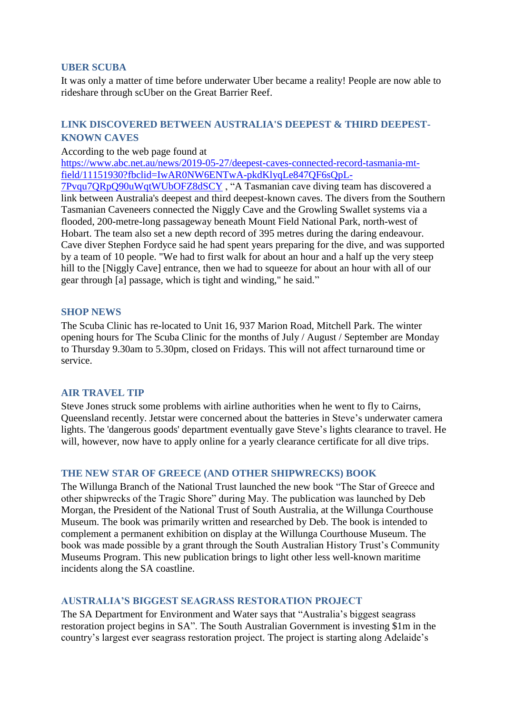### **UBER SCUBA**

It was only a matter of time before underwater Uber became a reality! People are now able to rideshare through scUber on the Great Barrier Reef.

## **LINK DISCOVERED BETWEEN AUSTRALIA'S DEEPEST & THIRD DEEPEST-KNOWN CAVES**

#### According to the web page found at

[https://www.abc.net.au/news/2019-05-27/deepest-caves-connected-record-tasmania-mt](https://www.abc.net.au/news/2019-05-27/deepest-caves-connected-record-tasmania-mt-field/11151930?fbclid=IwAR0NW6ENTwA-pkdKlyqLe847QF6sQpL-7Pvqu7QRpQ90uWqtWUbOFZ8dSCY)[field/11151930?fbclid=IwAR0NW6ENTwA-pkdKlyqLe847QF6sQpL-](https://www.abc.net.au/news/2019-05-27/deepest-caves-connected-record-tasmania-mt-field/11151930?fbclid=IwAR0NW6ENTwA-pkdKlyqLe847QF6sQpL-7Pvqu7QRpQ90uWqtWUbOFZ8dSCY)

[7Pvqu7QRpQ90uWqtWUbOFZ8dSCY](https://www.abc.net.au/news/2019-05-27/deepest-caves-connected-record-tasmania-mt-field/11151930?fbclid=IwAR0NW6ENTwA-pkdKlyqLe847QF6sQpL-7Pvqu7QRpQ90uWqtWUbOFZ8dSCY) , "A Tasmanian cave diving team has discovered a link between Australia's deepest and third deepest-known caves. The divers from the Southern Tasmanian Caveneers connected the Niggly Cave and the Growling Swallet systems via a flooded, 200-metre-long passageway beneath Mount Field National Park, north-west of Hobart. The team also set a new depth record of 395 metres during the daring endeavour. Cave diver Stephen Fordyce said he had spent years preparing for the dive, and was supported by a team of 10 people. "We had to first walk for about an hour and a half up the very steep hill to the [Niggly Cave] entrance, then we had to squeeze for about an hour with all of our gear through [a] passage, which is tight and winding," he said."

#### **SHOP NEWS**

The Scuba Clinic has re-located to Unit 16, 937 Marion Road, Mitchell Park. The winter opening hours for The Scuba Clinic for the months of July / August / September are Monday to Thursday 9.30am to 5.30pm, closed on Fridays. This will not affect turnaround time or service.

#### **AIR TRAVEL TIP**

Steve Jones struck some problems with airline authorities when he went to fly to Cairns, Queensland recently. Jetstar were concerned about the batteries in Steve's underwater camera lights. The 'dangerous goods' department eventually gave Steve's lights clearance to travel. He will, however, now have to apply online for a yearly clearance certificate for all dive trips.

### **THE NEW STAR OF GREECE (AND OTHER SHIPWRECKS) BOOK**

The Willunga Branch of the National Trust launched the new book "The Star of Greece and other shipwrecks of the Tragic Shore" during May. The publication was launched by Deb Morgan, the President of the National Trust of South Australia, at the Willunga Courthouse Museum. The book was primarily written and researched by Deb. The book is intended to complement a permanent exhibition on display at the Willunga Courthouse Museum. The book was made possible by a grant through the South Australian History Trust's Community Museums Program. This new publication brings to light other less well-known maritime incidents along the SA coastline.

### **AUSTRALIA'S BIGGEST SEAGRASS RESTORATION PROJECT**

The SA Department for Environment and Water says that "Australia's biggest seagrass restoration project begins in SA". The South Australian Government is investing \$1m in the country's largest ever seagrass restoration project. The project is starting along Adelaide's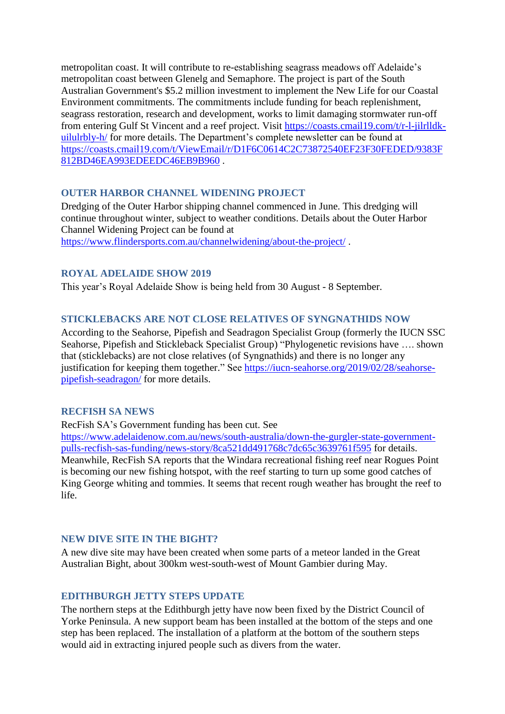metropolitan coast. It will contribute to re-establishing seagrass meadows off Adelaide's metropolitan coast between Glenelg and Semaphore. The project is part of the South Australian Government's \$5.2 million investment to implement the New Life for our Coastal Environment commitments. The commitments include funding for beach replenishment, seagrass restoration, research and development, works to limit damaging stormwater run-off from entering Gulf St Vincent and a reef project. Visit [https://coasts.cmail19.com/t/r-l-jilrlldk](https://coasts.cmail19.com/t/r-l-jilrlldk-uilulrbly-h/)[uilulrbly-h/](https://coasts.cmail19.com/t/r-l-jilrlldk-uilulrbly-h/) for more details. The Department's complete newsletter can be found at [https://coasts.cmail19.com/t/ViewEmail/r/D1F6C0614C2C73872540EF23F30FEDED/9383F](https://coasts.cmail19.com/t/ViewEmail/r/D1F6C0614C2C73872540EF23F30FEDED/9383F812BD46EA993EDEEDC46EB9B960) [812BD46EA993EDEEDC46EB9B960](https://coasts.cmail19.com/t/ViewEmail/r/D1F6C0614C2C73872540EF23F30FEDED/9383F812BD46EA993EDEEDC46EB9B960) .

## **OUTER HARBOR CHANNEL WIDENING PROJECT**

Dredging of the Outer Harbor shipping channel commenced in June. This dredging will continue throughout winter, subject to weather conditions. Details about the Outer Harbor Channel Widening Project can be found at <https://www.flindersports.com.au/channelwidening/about-the-project/> .

### **ROYAL ADELAIDE SHOW 2019**

This year's Royal Adelaide Show is being held from 30 August - 8 September.

### **STICKLEBACKS ARE NOT CLOSE RELATIVES OF SYNGNATHIDS NOW**

According to the Seahorse, Pipefish and Seadragon Specialist Group (formerly the IUCN SSC Seahorse, Pipefish and Stickleback Specialist Group) "Phylogenetic revisions have …. shown that (sticklebacks) are not close relatives (of Syngnathids) and there is no longer any justification for keeping them together." See [https://iucn-seahorse.org/2019/02/28/seahorse](https://iucn-seahorse.org/2019/02/28/seahorse-pipefish-seadragon/)[pipefish-seadragon/](https://iucn-seahorse.org/2019/02/28/seahorse-pipefish-seadragon/) for more details.

### **RECFISH SA NEWS**

RecFish SA's Government funding has been cut. See

[https://www.adelaidenow.com.au/news/south-australia/down-the-gurgler-state-government](https://www.adelaidenow.com.au/news/south-australia/down-the-gurgler-state-government-pulls-recfish-sas-funding/news-story/8ca521dd491768c7dc65c3639761f595)[pulls-recfish-sas-funding/news-story/8ca521dd491768c7dc65c3639761f595](https://www.adelaidenow.com.au/news/south-australia/down-the-gurgler-state-government-pulls-recfish-sas-funding/news-story/8ca521dd491768c7dc65c3639761f595) for details. Meanwhile, RecFish SA reports that the Windara recreational fishing reef near Rogues Point is becoming our new fishing hotspot, with the reef starting to turn up some good catches of King George whiting and tommies. It seems that recent rough weather has brought the reef to life.

### **NEW DIVE SITE IN THE BIGHT?**

A new dive site may have been created when some parts of a meteor landed in the Great Australian Bight, about 300km west-south-west of Mount Gambier during May.

### **EDITHBURGH JETTY STEPS UPDATE**

The northern steps at the Edithburgh jetty have now been fixed by the District Council of Yorke Peninsula. A new support beam has been installed at the bottom of the steps and one step has been replaced. The installation of a platform at the bottom of the southern steps would aid in extracting injured people such as divers from the water.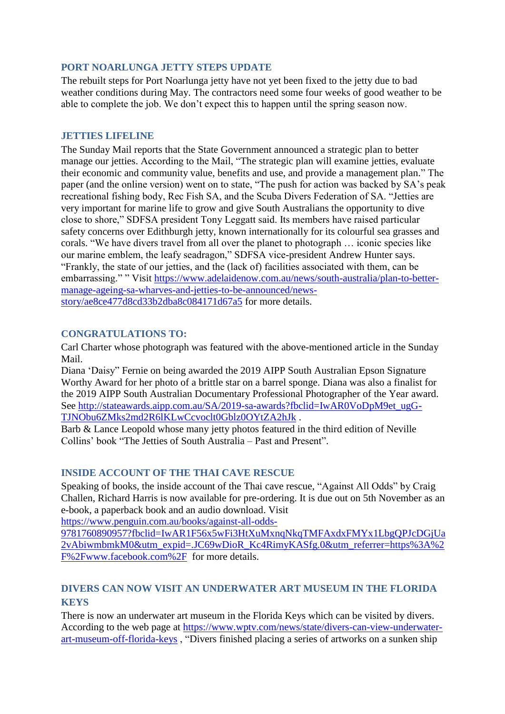## **PORT NOARLUNGA JETTY STEPS UPDATE**

The rebuilt steps for Port Noarlunga jetty have not yet been fixed to the jetty due to bad weather conditions during May. The contractors need some four weeks of good weather to be able to complete the job. We don't expect this to happen until the spring season now.

### **JETTIES LIEELINE**

The Sunday Mail reports that the State Government announced a strategic plan to better manage our jetties. According to the Mail, "The strategic plan will examine jetties, evaluate their economic and community value, benefits and use, and provide a management plan." The paper (and the online version) went on to state, "The push for action was backed by SA's peak recreational fishing body, Rec Fish SA, and the Scuba Divers Federation of SA. "Jetties are very important for marine life to grow and give South Australians the opportunity to dive close to shore," SDFSA president Tony Leggatt said. Its members have raised particular safety concerns over Edithburgh jetty, known internationally for its colourful sea grasses and corals. "We have divers travel from all over the planet to photograph … iconic species like our marine emblem, the leafy seadragon," SDFSA vice-president Andrew Hunter says. "Frankly, the state of our jetties, and the (lack of) facilities associated with them, can be embarrassing." " Visit [https://www.adelaidenow.com.au/news/south-australia/plan-to-better](https://www.adelaidenow.com.au/news/south-australia/plan-to-better-manage-ageing-sa-wharves-and-jetties-to-be-announced/news-story/ae8ce477d8cd33b2dba8c084171d67a5)[manage-ageing-sa-wharves-and-jetties-to-be-announced/news](https://www.adelaidenow.com.au/news/south-australia/plan-to-better-manage-ageing-sa-wharves-and-jetties-to-be-announced/news-story/ae8ce477d8cd33b2dba8c084171d67a5)[story/ae8ce477d8cd33b2dba8c084171d67a5](https://www.adelaidenow.com.au/news/south-australia/plan-to-better-manage-ageing-sa-wharves-and-jetties-to-be-announced/news-story/ae8ce477d8cd33b2dba8c084171d67a5) for more details.

## **CONGRATULATIONS TO:**

Carl Charter whose photograph was featured with the above-mentioned article in the Sunday Mail.

Diana 'Daisy" Fernie on being awarded the 2019 AIPP South Australian Epson Signature Worthy Award for her photo of a brittle star on a barrel sponge. Diana was also a finalist for the 2019 AIPP South Australian Documentary Professional Photographer of the Year award. See [http://stateawards.aipp.com.au/SA/2019-sa-awards?fbclid=IwAR0VoDpM9et\\_ugG-](http://stateawards.aipp.com.au/SA/2019-sa-awards?fbclid=IwAR0VoDpM9et_ugG-TJNObu6ZMks2md2R6lKLwCcvoclt0Gblz0OYtZA2hJk)[TJNObu6ZMks2md2R6lKLwCcvoclt0Gblz0OYtZA2hJk](http://stateawards.aipp.com.au/SA/2019-sa-awards?fbclid=IwAR0VoDpM9et_ugG-TJNObu6ZMks2md2R6lKLwCcvoclt0Gblz0OYtZA2hJk) .

Barb & Lance Leopold whose many jetty photos featured in the third edition of Neville Collins' book "The Jetties of South Australia – Past and Present".

## **INSIDE ACCOUNT OF THE THAI CAVE RESCUE**

Speaking of books, the inside account of the Thai cave rescue, "Against All Odds" by Craig Challen, Richard Harris is now available for pre-ordering. It is due out on 5th November as an e-book, a paperback book and an audio download. Visit

[https://www.penguin.com.au/books/against-all-odds-](https://www.penguin.com.au/books/against-all-odds-9781760890957?fbclid=IwAR1F56x5wFi3HtXuMxnqNkqTMFAxdxFMYx1LbgQPJcDGjUa2vAbiwmbmkM0&utm_expid=.JC69wDioR_Kc4RimyKASfg.0&utm_referrer=https%3A%2F%2Fwww.facebook.com%2F)

[9781760890957?fbclid=IwAR1F56x5wFi3HtXuMxnqNkqTMFAxdxFMYx1LbgQPJcDGjUa](https://www.penguin.com.au/books/against-all-odds-9781760890957?fbclid=IwAR1F56x5wFi3HtXuMxnqNkqTMFAxdxFMYx1LbgQPJcDGjUa2vAbiwmbmkM0&utm_expid=.JC69wDioR_Kc4RimyKASfg.0&utm_referrer=https%3A%2F%2Fwww.facebook.com%2F) [2vAbiwmbmkM0&utm\\_expid=.JC69wDioR\\_Kc4RimyKASfg.0&utm\\_referrer=https%3A%2](https://www.penguin.com.au/books/against-all-odds-9781760890957?fbclid=IwAR1F56x5wFi3HtXuMxnqNkqTMFAxdxFMYx1LbgQPJcDGjUa2vAbiwmbmkM0&utm_expid=.JC69wDioR_Kc4RimyKASfg.0&utm_referrer=https%3A%2F%2Fwww.facebook.com%2F) [F%2Fwww.facebook.com%2F](https://www.penguin.com.au/books/against-all-odds-9781760890957?fbclid=IwAR1F56x5wFi3HtXuMxnqNkqTMFAxdxFMYx1LbgQPJcDGjUa2vAbiwmbmkM0&utm_expid=.JC69wDioR_Kc4RimyKASfg.0&utm_referrer=https%3A%2F%2Fwww.facebook.com%2F) for more details.

## **DIVERS CAN NOW VISIT AN UNDERWATER ART MUSEUM IN THE FLORIDA KEYS**

There is now an underwater art museum in the Florida Keys which can be visited by divers. According to the web page at [https://www.wptv.com/news/state/divers-can-view-underwater](https://www.wptv.com/news/state/divers-can-view-underwater-art-museum-off-florida-keys)[art-museum-off-florida-keys](https://www.wptv.com/news/state/divers-can-view-underwater-art-museum-off-florida-keys) , "Divers finished placing a series of artworks on a sunken ship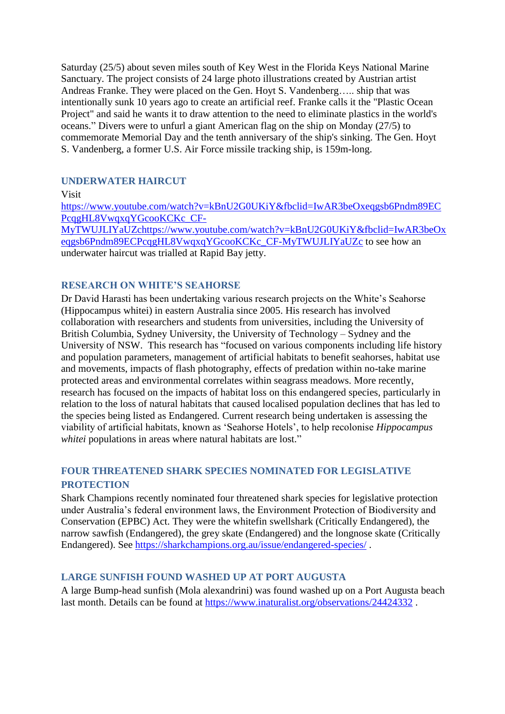Saturday (25/5) about seven miles south of Key West in the Florida Keys National Marine Sanctuary. The project consists of 24 large photo illustrations created by Austrian artist Andreas Franke. They were placed on the Gen. Hoyt S. Vandenberg….. ship that was intentionally sunk 10 years ago to create an artificial reef. Franke calls it the "Plastic Ocean Project" and said he wants it to draw attention to the need to eliminate plastics in the world's oceans." Divers were to unfurl a giant American flag on the ship on Monday (27/5) to commemorate Memorial Day and the tenth anniversary of the ship's sinking. The Gen. Hoyt S. Vandenberg, a former U.S. Air Force missile tracking ship, is 159m-long.

## **UNDERWATER HAIRCUT**

Visit

[https://www.youtube.com/watch?v=kBnU2G0UKiY&fbclid=IwAR3beOxeqgsb6Pndm89EC](https://www.youtube.com/watch?v=kBnU2G0UKiY&fbclid=IwAR3beOxeqgsb6Pndm89ECPcqgHL8VwqxqYGcooKCKc_CF-MyTWUJLIYaUZchttps://www.youtube.com/watch?v=kBnU2G0UKiY&fbclid=IwAR3beOxeqgsb6Pndm89ECPcqgHL8VwqxqYGcooKCKc_CF-MyTWUJLIYaUZc) [PcqgHL8VwqxqYGcooKCKc\\_CF-](https://www.youtube.com/watch?v=kBnU2G0UKiY&fbclid=IwAR3beOxeqgsb6Pndm89ECPcqgHL8VwqxqYGcooKCKc_CF-MyTWUJLIYaUZchttps://www.youtube.com/watch?v=kBnU2G0UKiY&fbclid=IwAR3beOxeqgsb6Pndm89ECPcqgHL8VwqxqYGcooKCKc_CF-MyTWUJLIYaUZc)[MyTWUJLIYaUZchttps://www.youtube.com/watch?v=kBnU2G0UKiY&fbclid=IwAR3beOx](https://www.youtube.com/watch?v=kBnU2G0UKiY&fbclid=IwAR3beOxeqgsb6Pndm89ECPcqgHL8VwqxqYGcooKCKc_CF-MyTWUJLIYaUZchttps://www.youtube.com/watch?v=kBnU2G0UKiY&fbclid=IwAR3beOxeqgsb6Pndm89ECPcqgHL8VwqxqYGcooKCKc_CF-MyTWUJLIYaUZc) [eqgsb6Pndm89ECPcqgHL8VwqxqYGcooKCKc\\_CF-MyTWUJLIYaUZc](https://www.youtube.com/watch?v=kBnU2G0UKiY&fbclid=IwAR3beOxeqgsb6Pndm89ECPcqgHL8VwqxqYGcooKCKc_CF-MyTWUJLIYaUZchttps://www.youtube.com/watch?v=kBnU2G0UKiY&fbclid=IwAR3beOxeqgsb6Pndm89ECPcqgHL8VwqxqYGcooKCKc_CF-MyTWUJLIYaUZc) to see how an underwater haircut was trialled at Rapid Bay jetty.

### **RESEARCH ON WHITE'S SEAHORSE**

Dr David Harasti has been undertaking various research projects on the White's Seahorse (Hippocampus whitei) in eastern Australia since 2005. His research has involved collaboration with researchers and students from universities, including the University of British Columbia, Sydney University, the University of Technology – Sydney and the University of NSW. This research has "focused on various components including life history and population parameters, management of artificial habitats to benefit seahorses, habitat use and movements, impacts of flash photography, effects of predation within no-take marine protected areas and environmental correlates within seagrass meadows. More recently, research has focused on the impacts of habitat loss on this endangered species, particularly in relation to the loss of natural habitats that caused localised population declines that has led to the species being listed as Endangered. Current research being undertaken is assessing the viability of artificial habitats, known as 'Seahorse Hotels', to help recolonise *Hippocampus whitei* populations in areas where natural habitats are lost."

# **FOUR THREATENED SHARK SPECIES NOMINATED FOR LEGISLATIVE PROTECTION**

Shark Champions recently nominated four threatened shark species for legislative protection under Australia's federal environment laws, the Environment Protection of Biodiversity and Conservation (EPBC) Act. They were the whitefin swellshark (Critically Endangered), the narrow sawfish (Endangered), the grey skate (Endangered) and the longnose skate (Critically Endangered). See<https://sharkchampions.org.au/issue/endangered-species/> .

### **LARGE SUNFISH FOUND WASHED UP AT PORT AUGUSTA**

A large Bump-head sunfish (Mola alexandrini) was found washed up on a Port Augusta beach last month. Details can be found at<https://www.inaturalist.org/observations/24424332> .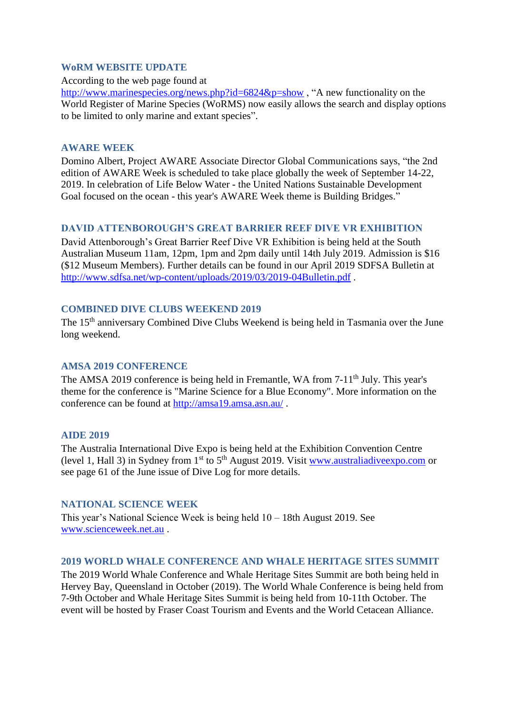### **WoRM WEBSITE UPDATE**

According to the web page found at

<http://www.marinespecies.org/news.php?id=6824&p=show>, "A new functionality on the World Register of Marine Species (WoRMS) now easily allows the search and display options to be limited to only marine and extant species".

### **AWARE WEEK**

Domino Albert, Project AWARE Associate Director Global Communications says, "the 2nd edition of AWARE Week is scheduled to take place globally the week of September 14-22, 2019. In celebration of Life Below Water - the United Nations Sustainable Development Goal focused on the ocean - this year's AWARE Week theme is Building Bridges."

## **DAVID ATTENBOROUGH'S GREAT BARRIER REEF DIVE VR EXHIBITION**

David Attenborough's Great Barrier Reef Dive VR Exhibition is being held at the South Australian Museum 11am, 12pm, 1pm and 2pm daily until 14th July 2019. Admission is \$16 (\$12 Museum Members). Further details can be found in our April 2019 SDFSA Bulletin at <http://www.sdfsa.net/wp-content/uploads/2019/03/2019-04Bulletin.pdf> .

### **COMBINED DIVE CLUBS WEEKEND 2019**

The 15<sup>th</sup> anniversary Combined Dive Clubs Weekend is being held in Tasmania over the June long weekend.

### **AMSA 2019 CONFERENCE**

The AMSA 2019 conference is being held in Fremantle, WA from 7-11<sup>th</sup> July. This year's theme for the conference is "Marine Science for a Blue Economy". More information on the conference can be found at<http://amsa19.amsa.asn.au/>.

### **AIDE 2019**

The Australia International Dive Expo is being held at the Exhibition Convention Centre (level 1, Hall 3) in Sydney from  $1<sup>st</sup>$  to  $5<sup>th</sup>$  August 2019. Visit www.australiadive expo.com or see page 61 of the June issue of Dive Log for more details.

## **NATIONAL SCIENCE WEEK**

This year's National Science Week is being held 10 – 18th August 2019. See [www.scienceweek.net.au](http://www.scienceweek.net.au/) .

### **2019 WORLD WHALE CONFERENCE AND WHALE HERITAGE SITES SUMMIT**

The 2019 World Whale Conference and Whale Heritage Sites Summit are both being held in Hervey Bay, Queensland in October (2019). The World Whale Conference is being held from 7-9th October and Whale Heritage Sites Summit is being held from 10-11th October. The event will be hosted by Fraser Coast Tourism and Events and the World Cetacean Alliance.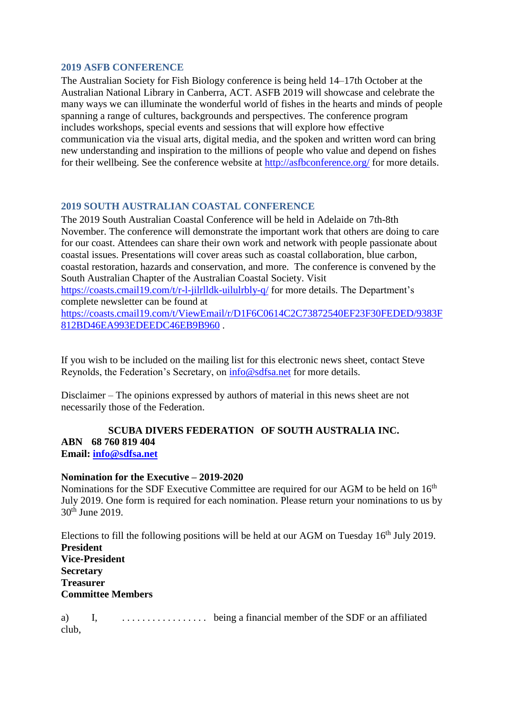### **2019 ASFB CONFERENCE**

The Australian Society for Fish Biology conference is being held 14–17th October at the Australian National Library in Canberra, ACT. ASFB 2019 will showcase and celebrate the many ways we can illuminate the wonderful world of fishes in the hearts and minds of people spanning a range of cultures, backgrounds and perspectives. The conference program includes workshops, special events and sessions that will explore how effective communication via the visual arts, digital media, and the spoken and written word can bring new understanding and inspiration to the millions of people who value and depend on fishes for their wellbeing. See the conference website at<http://asfbconference.org/> for more details.

## **2019 SOUTH AUSTRALIAN COASTAL CONFERENCE**

The 2019 South Australian Coastal Conference will be held in Adelaide on 7th-8th November. The conference will demonstrate the important work that others are doing to care for our coast. Attendees can share their own work and network with people passionate about coastal issues. Presentations will cover areas such as coastal collaboration, blue carbon, coastal restoration, hazards and conservation, and more. The conference is convened by the South Australian Chapter of the Australian Coastal Society. Visit <https://coasts.cmail19.com/t/r-l-jilrlldk-uilulrbly-q/> for more details. The Department's complete newsletter can be found at [https://coasts.cmail19.com/t/ViewEmail/r/D1F6C0614C2C73872540EF23F30FEDED/9383F](https://coasts.cmail19.com/t/ViewEmail/r/D1F6C0614C2C73872540EF23F30FEDED/9383F812BD46EA993EDEEDC46EB9B960)

[812BD46EA993EDEEDC46EB9B960](https://coasts.cmail19.com/t/ViewEmail/r/D1F6C0614C2C73872540EF23F30FEDED/9383F812BD46EA993EDEEDC46EB9B960) .

If you wish to be included on the mailing list for this electronic news sheet, contact Steve Reynolds, the Federation's Secretary, on [info@sdfsa.net](mailto:info@sdfsa.net) for more details.

Disclaimer – The opinions expressed by authors of material in this news sheet are not necessarily those of the Federation.

### **SCUBA DIVERS FEDERATION OF SOUTH AUSTRALIA INC. ABN 68 760 819 404 Email: [info@sdfsa.net](mailto:info@sdfsa.net)**

### **Nomination for the Executive – 2019-2020**

Nominations for the SDF Executive Committee are required for our AGM to be held on 16<sup>th</sup> July 2019. One form is required for each nomination. Please return your nominations to us by 30th June 2019.

Elections to fill the following positions will be held at our AGM on Tuesday  $16<sup>th</sup>$  July 2019. **President Vice-President Secretary Treasurer Committee Members**

a) I, . . . . . . . . . . . . . . . . . being a financial member of the SDF or an affiliated club,